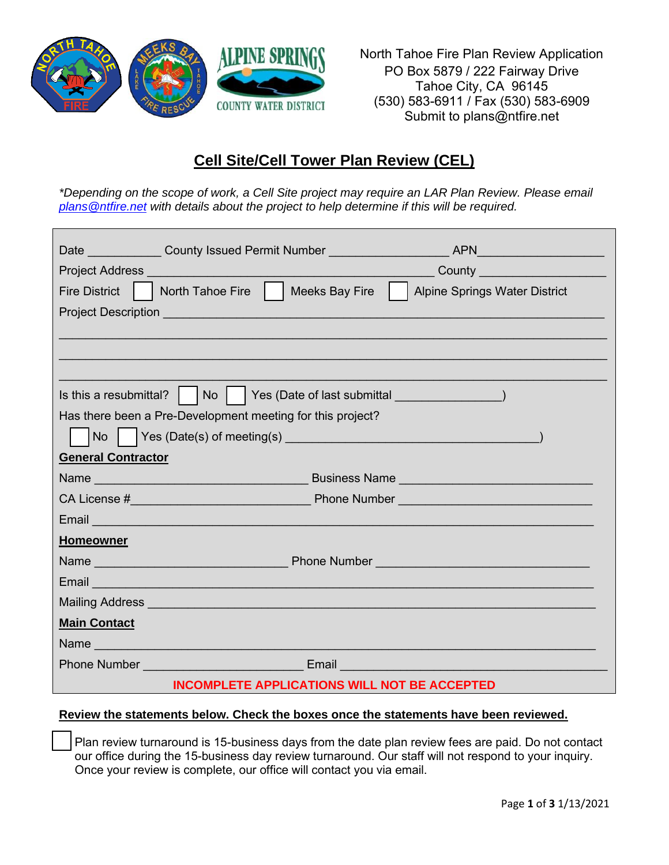

North Tahoe Fire Plan Review Application PO Box 5879 / 222 Fairway Drive Tahoe City, CA 96145 (530) 583-6911 / Fax (530) 583-6909 Submit to plans@ntfire.net

# **Cell Site/Cell Tower Plan Review (CEL)**

*\*Depending on the scope of work, a Cell Site project may require an LAR Plan Review. Please email [plans@ntfire.net](mailto:plans@ntfire.net) with details about the project to help determine if this will be required.*

|                                                                                                                                                                                                                                      | County <u>______________________</u> |
|--------------------------------------------------------------------------------------------------------------------------------------------------------------------------------------------------------------------------------------|--------------------------------------|
| North Tahoe Fire     Meeks Bay Fire<br><b>Fire District</b>                                                                                                                                                                          | Alpine Springs Water District        |
| Project Description Learner and Contract and Contract of the Contract of the Contract of the Contract of the Contract of the Contract of the Contract of the Contract of the Contract of the Contract of the Contract of the C       |                                      |
|                                                                                                                                                                                                                                      |                                      |
|                                                                                                                                                                                                                                      |                                      |
|                                                                                                                                                                                                                                      |                                      |
| Is this a resubmittal?     No     Yes (Date of last submittal __________________                                                                                                                                                     |                                      |
| Has there been a Pre-Development meeting for this project?                                                                                                                                                                           |                                      |
| No                                                                                                                                                                                                                                   |                                      |
| <b>General Contractor</b>                                                                                                                                                                                                            |                                      |
|                                                                                                                                                                                                                                      |                                      |
|                                                                                                                                                                                                                                      |                                      |
| Email <b>Experience of the Contract of the Contract of the Contract of the Contract of the Contract of the Contract of the Contract of the Contract of the Contract of the Contract of the Contract of the Contract of the Contr</b> |                                      |
| <b>Homeowner</b>                                                                                                                                                                                                                     |                                      |
|                                                                                                                                                                                                                                      |                                      |
| Email <b>Exercise Service</b>                                                                                                                                                                                                        |                                      |
| Mailing Address and the contract of the contract of the contract of the contract of the contract of the contract of the contract of the contract of the contract of the contract of the contract of the contract of the contra       |                                      |
| <b>Main Contact</b>                                                                                                                                                                                                                  |                                      |
| Name                                                                                                                                                                                                                                 |                                      |
| <b>Phone Number Community Community Community Community Community Community Community Community Community Community</b>                                                                                                              |                                      |
| <b>INCOMPLETE APPLICATIONS WILL NOT BE ACCEPTED</b>                                                                                                                                                                                  |                                      |

### **Review the statements below. Check the boxes once the statements have been reviewed.**

Plan review turnaround is 15-business days from the date plan review fees are paid. Do not contact our office during the 15-business day review turnaround. Our staff will not respond to your inquiry. Once your review is complete, our office will contact you via email.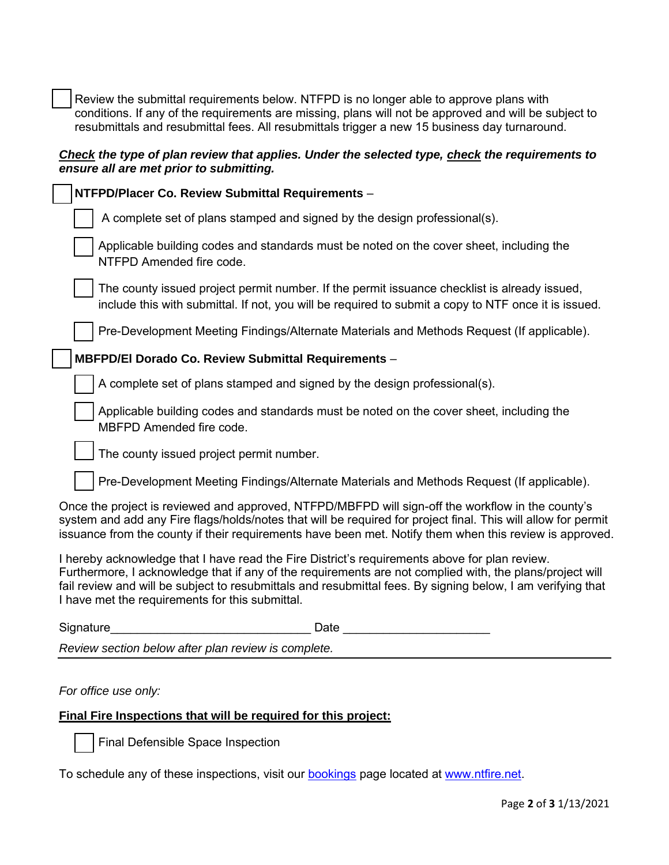Review the submittal requirements below. NTFPD is no longer able to approve plans with conditions. If any of the requirements are missing, plans will not be approved and will be subject to resubmittals and resubmittal fees. All resubmittals trigger a new 15 business day turnaround.

#### *Check the type of plan review that applies. Under the selected type, check the requirements to ensure all are met prior to submitting.*

|                                                 | NTFPD/Placer Co. Review Submittal Requirements -                                                                                                                                                                                                                                                                              |  |
|-------------------------------------------------|-------------------------------------------------------------------------------------------------------------------------------------------------------------------------------------------------------------------------------------------------------------------------------------------------------------------------------|--|
|                                                 | A complete set of plans stamped and signed by the design professional(s).                                                                                                                                                                                                                                                     |  |
| NTFPD Amended fire code.                        | Applicable building codes and standards must be noted on the cover sheet, including the                                                                                                                                                                                                                                       |  |
|                                                 | The county issued project permit number. If the permit issuance checklist is already issued,<br>include this with submittal. If not, you will be required to submit a copy to NTF once it is issued.                                                                                                                          |  |
|                                                 | Pre-Development Meeting Findings/Alternate Materials and Methods Request (If applicable).                                                                                                                                                                                                                                     |  |
|                                                 | MBFPD/El Dorado Co. Review Submittal Requirements -                                                                                                                                                                                                                                                                           |  |
|                                                 | A complete set of plans stamped and signed by the design professional(s).                                                                                                                                                                                                                                                     |  |
| MBFPD Amended fire code.                        | Applicable building codes and standards must be noted on the cover sheet, including the                                                                                                                                                                                                                                       |  |
|                                                 | The county issued project permit number.                                                                                                                                                                                                                                                                                      |  |
|                                                 | Pre-Development Meeting Findings/Alternate Materials and Methods Request (If applicable).                                                                                                                                                                                                                                     |  |
|                                                 | Once the project is reviewed and approved, NTFPD/MBFPD will sign-off the workflow in the county's<br>system and add any Fire flags/holds/notes that will be required for project final. This will allow for permit<br>issuance from the county if their requirements have been met. Notify them when this review is approved. |  |
| I have met the requirements for this submittal. | I hereby acknowledge that I have read the Fire District's requirements above for plan review.<br>Furthermore, I acknowledge that if any of the requirements are not complied with, the plans/project will<br>fail review and will be subject to resubmittals and resubmittal fees. By signing below, I am verifying that      |  |
| Signature                                       | Date                                                                                                                                                                                                                                                                                                                          |  |

*Review section below after plan review is complete.*

#### *For office use only:*

## **Final Fire Inspections that will be required for this project:**

Final Defensible Space Inspection

To schedule any of these inspections, visit our **bookings** page located at [www.ntfire.net.](file:///C:/Users/lundin/Desktop/Applications/www.ntfire.net)